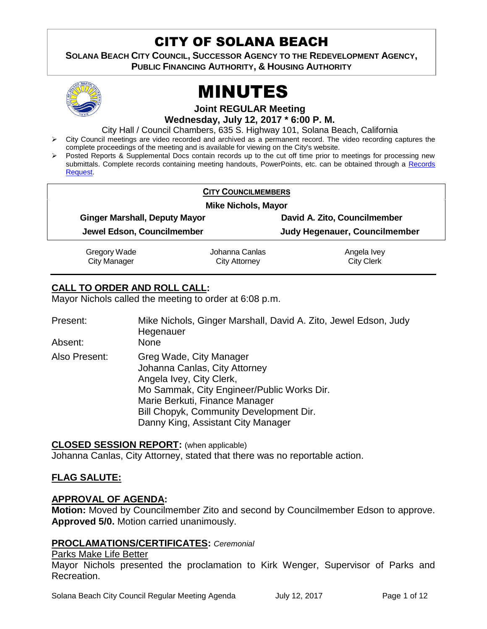# CITY OF SOLANA BEACH

**SOLANA BEACH CITY COUNCIL, SUCCESSOR AGENCY TO THE REDEVELOPMENT AGENCY, PUBLIC FINANCING AUTHORITY, & HOUSING AUTHORITY** 



# MINUTES

**Joint REGULAR Meeting Wednesday, July 12, 2017 \* 6:00 P. M.**

City Hall / Council Chambers, 635 S. Highway 101, Solana Beach, California

- > City Council meetings are video recorded and archived as a permanent record. The video recording captures the complete proceedings of the meeting and is available for viewing on the City's website.
- Posted Reports & Supplemental Docs contain records up to the cut off time prior to meetings for processing new submittals. Complete records containing meeting handouts, PowerPoints, etc. can be obtained through a Records [Request.](http://www.ci.solana-beach.ca.us/index.asp?SEC=F5D45D10-70CE-4291-A27C-7BD633FC6742&Type=B_BASIC)

|                            |                                      | <b>CITY COUNCILMEMBERS</b> |                               |  |
|----------------------------|--------------------------------------|----------------------------|-------------------------------|--|
| <b>Mike Nichols, Mayor</b> |                                      |                            |                               |  |
|                            | <b>Ginger Marshall, Deputy Mayor</b> |                            | David A. Zito, Councilmember  |  |
|                            | Jewel Edson, Councilmember           |                            | Judy Hegenauer, Councilmember |  |
|                            | Gregory Wade                         | Johanna Canlas             | Angela Ivey                   |  |
|                            | <b>City Manager</b>                  | City Attorney              | <b>City Clerk</b>             |  |

# **CALL TO ORDER AND ROLL CALL:**

Mayor Nichols called the meeting to order at 6:08 p.m.

| Present:<br>Absent: | Mike Nichols, Ginger Marshall, David A. Zito, Jewel Edson, Judy<br>Hegenauer<br>None                                                                                                                                                                  |
|---------------------|-------------------------------------------------------------------------------------------------------------------------------------------------------------------------------------------------------------------------------------------------------|
| Also Present:       | Greg Wade, City Manager<br>Johanna Canlas, City Attorney<br>Angela Ivey, City Clerk,<br>Mo Sammak, City Engineer/Public Works Dir.<br>Marie Berkuti, Finance Manager<br>Bill Chopyk, Community Development Dir.<br>Danny King, Assistant City Manager |

# **CLOSED SESSION REPORT:** (when applicable)

Johanna Canlas, City Attorney, stated that there was no reportable action.

# **FLAG SALUTE:**

# **APPROVAL OF AGENDA:**

**Motion:** Moved by Councilmember Zito and second by Councilmember Edson to approve. **Approved 5/0.** Motion carried unanimously.

# **PROCLAMATIONS/CERTIFICATES:** *Ceremonial*

#### Parks Make Life Better

Mayor Nichols presented the proclamation to Kirk Wenger, Supervisor of Parks and Recreation.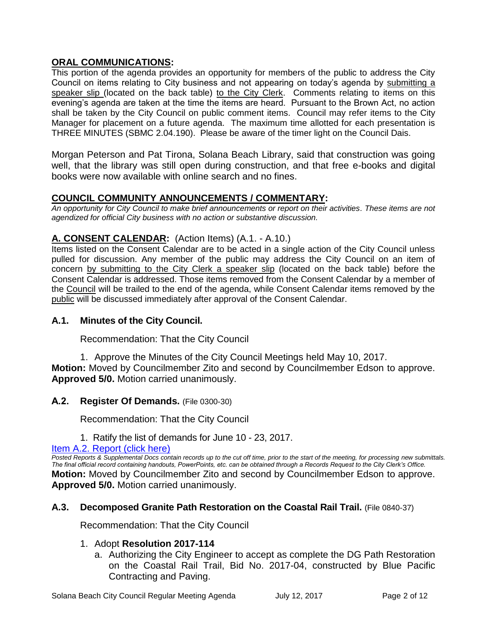# **ORAL COMMUNICATIONS:**

This portion of the agenda provides an opportunity for members of the public to address the City Council on items relating to City business and not appearing on today's agenda by submitting a speaker slip (located on the back table) to the City Clerk. Comments relating to items on this evening's agenda are taken at the time the items are heard. Pursuant to the Brown Act, no action shall be taken by the City Council on public comment items. Council may refer items to the City Manager for placement on a future agenda. The maximum time allotted for each presentation is THREE MINUTES (SBMC 2.04.190). Please be aware of the timer light on the Council Dais.

Morgan Peterson and Pat Tirona, Solana Beach Library, said that construction was going well, that the library was still open during construction, and that free e-books and digital books were now available with online search and no fines.

# **COUNCIL COMMUNITY ANNOUNCEMENTS / COMMENTARY:**

*An opportunity for City Council to make brief announcements or report on their activities. These items are not agendized for official City business with no action or substantive discussion.* 

# **A. CONSENT CALENDAR:** (Action Items) (A.1. - A.10.)

Items listed on the Consent Calendar are to be acted in a single action of the City Council unless pulled for discussion. Any member of the public may address the City Council on an item of concern by submitting to the City Clerk a speaker slip (located on the back table) before the Consent Calendar is addressed. Those items removed from the Consent Calendar by a member of the Council will be trailed to the end of the agenda, while Consent Calendar items removed by the public will be discussed immediately after approval of the Consent Calendar.

#### **A.1. Minutes of the City Council.**

Recommendation: That the City Council

1. Approve the Minutes of the City Council Meetings held May 10, 2017. **Motion:** Moved by Councilmember Zito and second by Councilmember Edson to approve. **Approved 5/0.** Motion carried unanimously.

#### **A.2. Register Of Demands.** (File 0300-30)

Recommendation: That the City Council

1. Ratify the list of demands for June 10 - 23, 2017.

[Item A.2. Report \(click here\)](https://solanabeach.govoffice3.com/vertical/Sites/%7B840804C2-F869-4904-9AE3-720581350CE7%7D/uploads/Item_A.2_Report_(click_here)_-_7-12-17.PDF)

*Posted Reports & Supplemental Docs contain records up to the cut off time, prior to the start of the meeting, for processing new submittals. The final official record containing handouts, PowerPoints, etc. can be obtained through a Records Request to the City Clerk's Office.* **Motion:** Moved by Councilmember Zito and second by Councilmember Edson to approve. **Approved 5/0.** Motion carried unanimously.

#### **A.3. Decomposed Granite Path Restoration on the Coastal Rail Trail.** (File 0840-37)

Recommendation: That the City Council

#### 1. Adopt **Resolution 2017-114**

a. Authorizing the City Engineer to accept as complete the DG Path Restoration on the Coastal Rail Trail, Bid No. 2017-04, constructed by Blue Pacific Contracting and Paving.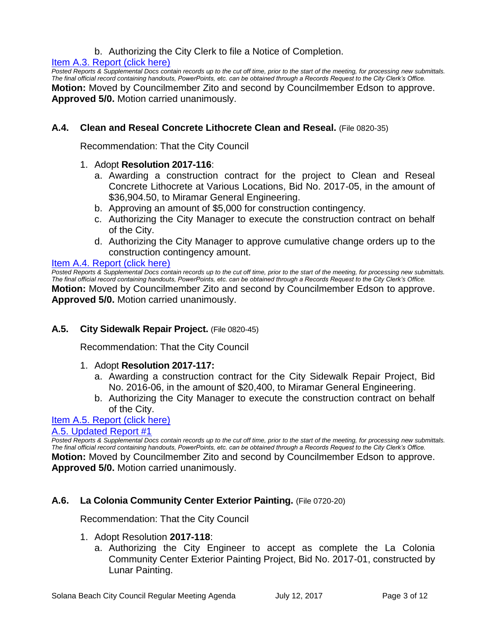# b. Authorizing the City Clerk to file a Notice of Completion.

#### [Item A.3. Report \(click here\)](https://solanabeach.govoffice3.com/vertical/Sites/%7B840804C2-F869-4904-9AE3-720581350CE7%7D/uploads/Item_A.3_Report_(click_here)_-_7-12-17.PDF)

*Posted Reports & Supplemental Docs contain records up to the cut off time, prior to the start of the meeting, for processing new submittals. The final official record containing handouts, PowerPoints, etc. can be obtained through a Records Request to the City Clerk's Office.* **Motion:** Moved by Councilmember Zito and second by Councilmember Edson to approve. **Approved 5/0.** Motion carried unanimously.

# **A.4. Clean and Reseal Concrete Lithocrete Clean and Reseal.** (File 0820-35)

Recommendation: That the City Council

#### 1. Adopt **Resolution 2017-116**:

- a. Awarding a construction contract for the project to Clean and Reseal Concrete Lithocrete at Various Locations, Bid No. 2017-05, in the amount of \$36,904.50, to Miramar General Engineering.
- b. Approving an amount of \$5,000 for construction contingency.
- c. Authorizing the City Manager to execute the construction contract on behalf of the City.
- d. Authorizing the City Manager to approve cumulative change orders up to the construction contingency amount.

#### [Item A.4. Report \(click here\)](https://solanabeach.govoffice3.com/vertical/Sites/%7B840804C2-F869-4904-9AE3-720581350CE7%7D/uploads/Item_A.4_Report_(click_here)_-_7-12-17.PDF)

*Posted Reports & Supplemental Docs contain records up to the cut off time, prior to the start of the meeting, for processing new submittals. The final official record containing handouts, PowerPoints, etc. can be obtained through a Records Request to the City Clerk's Office.* **Motion:** Moved by Councilmember Zito and second by Councilmember Edson to approve. **Approved 5/0.** Motion carried unanimously.

#### **A.5. City Sidewalk Repair Project.** (File 0820-45)

Recommendation: That the City Council

#### 1. Adopt **Resolution 2017-117:**

- a. Awarding a construction contract for the City Sidewalk Repair Project, Bid No. 2016-06, in the amount of \$20,400, to Miramar General Engineering.
- b. Authorizing the City Manager to execute the construction contract on behalf of the City.

#### Item A.5. [Report \(click here\)](https://solanabeach.govoffice3.com/vertical/Sites/%7B840804C2-F869-4904-9AE3-720581350CE7%7D/uploads/Item_A.5_Report_(click_here)_-_7-12-17.PDF)

#### [A.5. Updated Report #1](https://solanabeach.govoffice3.com/vertical/Sites/%7B840804C2-F869-4904-9AE3-720581350CE7%7D/uploads/A.5._Updated_Report_1_-_7-12-17.pdf)

*Posted Reports & Supplemental Docs contain records up to the cut off time, prior to the start of the meeting, for processing new submittals. The final official record containing handouts, PowerPoints, etc. can be obtained through a Records Request to the City Clerk's Office.* **Motion:** Moved by Councilmember Zito and second by Councilmember Edson to approve. **Approved 5/0.** Motion carried unanimously.

#### **A.6. La Colonia Community Center Exterior Painting.** (File 0720-20)

Recommendation: That the City Council

- 1. Adopt Resolution **2017-118**:
	- a. Authorizing the City Engineer to accept as complete the La Colonia Community Center Exterior Painting Project, Bid No. 2017-01, constructed by Lunar Painting.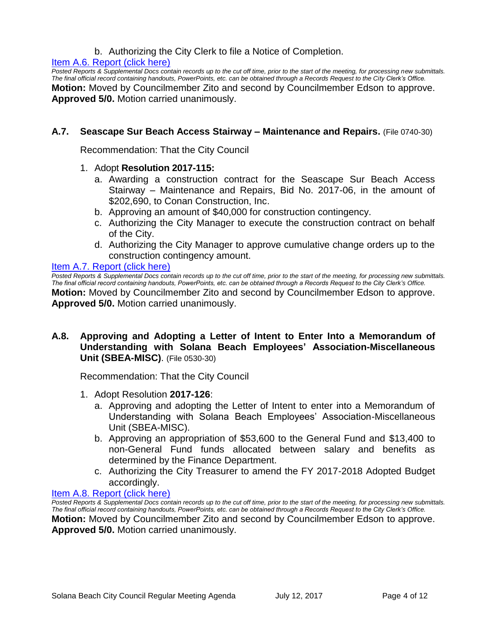# b. Authorizing the City Clerk to file a Notice of Completion.

#### [Item A.6. Report \(click here\)](https://solanabeach.govoffice3.com/vertical/Sites/%7B840804C2-F869-4904-9AE3-720581350CE7%7D/uploads/Item_A.6_Report_(click_here)_-_7-12-17.PDF)

*Posted Reports & Supplemental Docs contain records up to the cut off time, prior to the start of the meeting, for processing new submittals. The final official record containing handouts, PowerPoints, etc. can be obtained through a Records Request to the City Clerk's Office.* **Motion:** Moved by Councilmember Zito and second by Councilmember Edson to approve. **Approved 5/0.** Motion carried unanimously.

# **A.7. Seascape Sur Beach Access Stairway – Maintenance and Repairs.** (File 0740-30)

Recommendation: That the City Council

- 1. Adopt **Resolution 2017-115:**
	- a. Awarding a construction contract for the Seascape Sur Beach Access Stairway – Maintenance and Repairs, Bid No. 2017-06, in the amount of \$202,690, to Conan Construction, Inc.
	- b. Approving an amount of \$40,000 for construction contingency.
	- c. Authorizing the City Manager to execute the construction contract on behalf of the City.
	- d. Authorizing the City Manager to approve cumulative change orders up to the construction contingency amount.

#### [Item A.7. Report \(click here\)](https://solanabeach.govoffice3.com/vertical/Sites/%7B840804C2-F869-4904-9AE3-720581350CE7%7D/uploads/Item_A.7_Report_(click_here)_-_7-12-17.PDF)

*Posted Reports & Supplemental Docs contain records up to the cut off time, prior to the start of the meeting, for processing new submittals. The final official record containing handouts, PowerPoints, etc. can be obtained through a Records Request to the City Clerk's Office.* **Motion:** Moved by Councilmember Zito and second by Councilmember Edson to approve. **Approved 5/0.** Motion carried unanimously.

# **A.8. Approving and Adopting a Letter of Intent to Enter Into a Memorandum of Understanding with Solana Beach Employees' Association-Miscellaneous Unit (SBEA-MISC)**. (File 0530-30)

Recommendation: That the City Council

- 1. Adopt Resolution **2017-126**:
	- a. Approving and adopting the Letter of Intent to enter into a Memorandum of Understanding with Solana Beach Employees' Association-Miscellaneous Unit (SBEA-MISC).
	- b. Approving an appropriation of \$53,600 to the General Fund and \$13,400 to non-General Fund funds allocated between salary and benefits as determined by the Finance Department.
	- c. Authorizing the City Treasurer to amend the FY 2017-2018 Adopted Budget accordingly.

#### [Item A.8. Report \(click here\)](https://solanabeach.govoffice3.com/vertical/Sites/%7B840804C2-F869-4904-9AE3-720581350CE7%7D/uploads/Item_A.8_Report_(click_here)_-_7-12-17.PDF)

*Posted Reports & Supplemental Docs contain records up to the cut off time, prior to the start of the meeting, for processing new submittals. The final official record containing handouts, PowerPoints, etc. can be obtained through a Records Request to the City Clerk's Office.* **Motion:** Moved by Councilmember Zito and second by Councilmember Edson to approve.

**Approved 5/0.** Motion carried unanimously.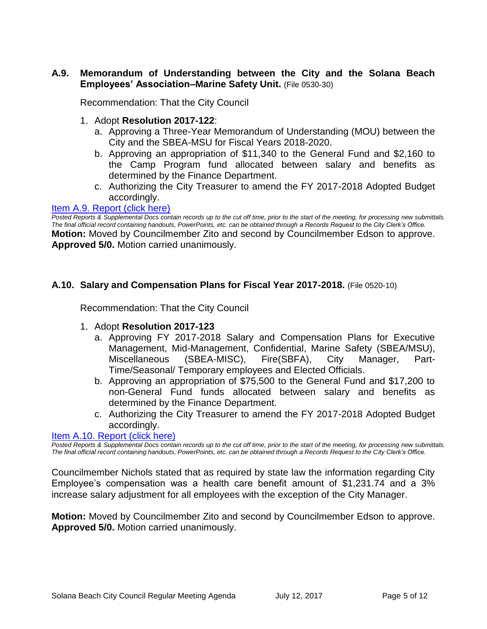# **A.9. Memorandum of Understanding between the City and the Solana Beach Employees' Association–Marine Safety Unit.** (File 0530-30)

Recommendation: That the City Council

- 1. Adopt **Resolution 2017-122**:
	- a. Approving a Three-Year Memorandum of Understanding (MOU) between the City and the SBEA-MSU for Fiscal Years 2018-2020.
	- b. Approving an appropriation of \$11,340 to the General Fund and \$2,160 to the Camp Program fund allocated between salary and benefits as determined by the Finance Department.
	- c. Authorizing the City Treasurer to amend the FY 2017-2018 Adopted Budget accordingly.

#### [Item A.9. Report \(click here\)](https://solanabeach.govoffice3.com/vertical/Sites/%7B840804C2-F869-4904-9AE3-720581350CE7%7D/uploads/Item_A.9_Report_(click_here)_-_7-12-17.PDF)

*Posted Reports & Supplemental Docs contain records up to the cut off time, prior to the start of the meeting, for processing new submittals. The final official record containing handouts, PowerPoints, etc. can be obtained through a Records Request to the City Clerk's Office.* **Motion:** Moved by Councilmember Zito and second by Councilmember Edson to approve. **Approved 5/0.** Motion carried unanimously.

# **A.10. Salary and Compensation Plans for Fiscal Year 2017-2018.** (File 0520-10)

Recommendation: That the City Council

- 1. Adopt **Resolution 2017-123**
	- a. Approving FY 2017-2018 Salary and Compensation Plans for Executive Management, Mid-Management, Confidential, Marine Safety (SBEA/MSU), Miscellaneous (SBEA-MISC), Fire(SBFA), City Manager, Part-Time/Seasonal/ Temporary employees and Elected Officials.
	- b. Approving an appropriation of \$75,500 to the General Fund and \$17,200 to non-General Fund funds allocated between salary and benefits as determined by the Finance Department.
	- c. Authorizing the City Treasurer to amend the FY 2017-2018 Adopted Budget accordingly.

# [Item A.10. Report \(click here\)](https://solanabeach.govoffice3.com/vertical/Sites/%7B840804C2-F869-4904-9AE3-720581350CE7%7D/uploads/Item_A.10_Report_(click_here)_-_7-12-17.PDF)

*Posted Reports & Supplemental Docs contain records up to the cut off time, prior to the start of the meeting, for processing new submittals. The final official record containing handouts, PowerPoints, etc. can be obtained through a Records Request to the City Clerk's Office.*

Councilmember Nichols stated that as required by state law the information regarding City Employee's compensation was a health care benefit amount of \$1,231.74 and a 3% increase salary adjustment for all employees with the exception of the City Manager.

**Motion:** Moved by Councilmember Zito and second by Councilmember Edson to approve. **Approved 5/0.** Motion carried unanimously.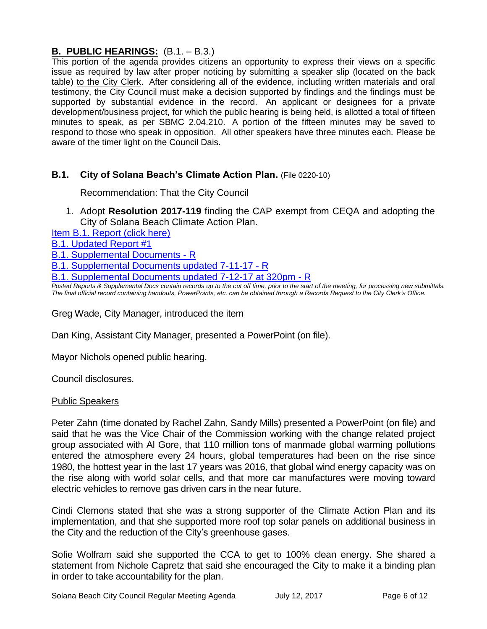# **B. PUBLIC HEARINGS:** (B.1. – B.3.)

This portion of the agenda provides citizens an opportunity to express their views on a specific issue as required by law after proper noticing by submitting a speaker slip (located on the back table) to the City Clerk. After considering all of the evidence, including written materials and oral testimony, the City Council must make a decision supported by findings and the findings must be supported by substantial evidence in the record. An applicant or designees for a private development/business project, for which the public hearing is being held, is allotted a total of fifteen minutes to speak, as per SBMC 2.04.210. A portion of the fifteen minutes may be saved to respond to those who speak in opposition. All other speakers have three minutes each. Please be aware of the timer light on the Council Dais.

# **B.1. City of Solana Beach's Climate Action Plan.** (File 0220-10)

Recommendation: That the City Council

1. Adopt **Resolution 2017-119** finding the CAP exempt from CEQA and adopting the City of Solana Beach Climate Action Plan.

[Item B.1. Report \(click here\)](https://solanabeach.govoffice3.com/vertical/Sites/%7B840804C2-F869-4904-9AE3-720581350CE7%7D/uploads/Item_B.1_Report_(click_here)_-_7-12-17.pdf)

[B.1. Updated Report #1](https://solanabeach.govoffice3.com/vertical/Sites/%7B840804C2-F869-4904-9AE3-720581350CE7%7D/uploads/B.1._Updated_Report_1_-_7-12-17.pdf)

[B.1. Supplemental Documents -](https://solanabeach.govoffice3.com/vertical/Sites/%7B840804C2-F869-4904-9AE3-720581350CE7%7D/uploads/B.1._Supplemental_Documents_-_R_7-10-17_.pdf) R

[B.1. Supplemental Documents updated 7-11-17 -](https://solanabeach.govoffice3.com/vertical/Sites/%7B840804C2-F869-4904-9AE3-720581350CE7%7D/uploads/B.1._Supplemental_Documents_7-11-17_-_R.pdf) R

[B.1. Supplemental Documents updated 7-12-17 at 320pm -](https://solanabeach.govoffice3.com/vertical/Sites/%7B840804C2-F869-4904-9AE3-720581350CE7%7D/uploads/B.1._Supplemental_Documents_updated_7-12-17_at_320pm_-_R.pdf) R

*Posted Reports & Supplemental Docs contain records up to the cut off time, prior to the start of the meeting, for processing new submittals. The final official record containing handouts, PowerPoints, etc. can be obtained through a Records Request to the City Clerk's Office.*

Greg Wade, City Manager, introduced the item

Dan King, Assistant City Manager, presented a PowerPoint (on file).

Mayor Nichols opened public hearing.

Council disclosures.

# Public Speakers

Peter Zahn (time donated by Rachel Zahn, Sandy Mills) presented a PowerPoint (on file) and said that he was the Vice Chair of the Commission working with the change related project group associated with Al Gore, that 110 million tons of manmade global warming pollutions entered the atmosphere every 24 hours, global temperatures had been on the rise since 1980, the hottest year in the last 17 years was 2016, that global wind energy capacity was on the rise along with world solar cells, and that more car manufactures were moving toward electric vehicles to remove gas driven cars in the near future.

Cindi Clemons stated that she was a strong supporter of the Climate Action Plan and its implementation, and that she supported more roof top solar panels on additional business in the City and the reduction of the City's greenhouse gases.

Sofie Wolfram said she supported the CCA to get to 100% clean energy. She shared a statement from Nichole Capretz that said she encouraged the City to make it a binding plan in order to take accountability for the plan.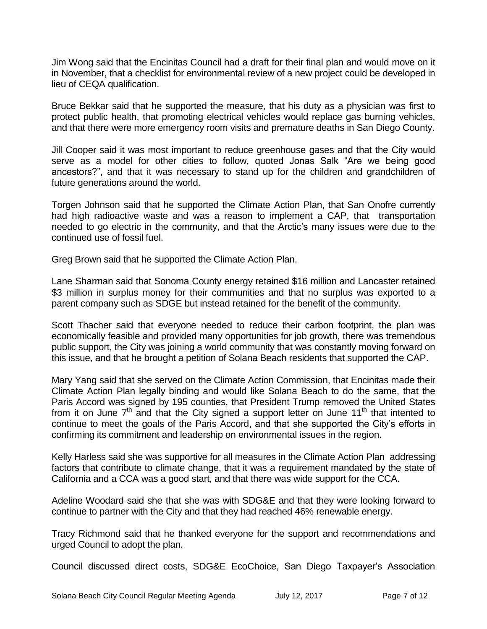Jim Wong said that the Encinitas Council had a draft for their final plan and would move on it in November, that a checklist for environmental review of a new project could be developed in lieu of CEQA qualification.

Bruce Bekkar said that he supported the measure, that his duty as a physician was first to protect public health, that promoting electrical vehicles would replace gas burning vehicles, and that there were more emergency room visits and premature deaths in San Diego County.

Jill Cooper said it was most important to reduce greenhouse gases and that the City would serve as a model for other cities to follow, quoted Jonas Salk "Are we being good ancestors?", and that it was necessary to stand up for the children and grandchildren of future generations around the world.

Torgen Johnson said that he supported the Climate Action Plan, that San Onofre currently had high radioactive waste and was a reason to implement a CAP, that transportation needed to go electric in the community, and that the Arctic's many issues were due to the continued use of fossil fuel.

Greg Brown said that he supported the Climate Action Plan.

Lane Sharman said that Sonoma County energy retained \$16 million and Lancaster retained \$3 million in surplus money for their communities and that no surplus was exported to a parent company such as SDGE but instead retained for the benefit of the community.

Scott Thacher said that everyone needed to reduce their carbon footprint, the plan was economically feasible and provided many opportunities for job growth, there was tremendous public support, the City was joining a world community that was constantly moving forward on this issue, and that he brought a petition of Solana Beach residents that supported the CAP.

Mary Yang said that she served on the Climate Action Commission, that Encinitas made their Climate Action Plan legally binding and would like Solana Beach to do the same, that the Paris Accord was signed by 195 counties, that President Trump removed the United States from it on June  $7<sup>th</sup>$  and that the City signed a support letter on June 11<sup>th</sup> that intented to continue to meet the goals of the Paris Accord, and that she supported the City's efforts in confirming its commitment and leadership on environmental issues in the region.

Kelly Harless said she was supportive for all measures in the Climate Action Plan addressing factors that contribute to climate change, that it was a requirement mandated by the state of California and a CCA was a good start, and that there was wide support for the CCA.

Adeline Woodard said she that she was with SDG&E and that they were looking forward to continue to partner with the City and that they had reached 46% renewable energy.

Tracy Richmond said that he thanked everyone for the support and recommendations and urged Council to adopt the plan.

Council discussed direct costs, SDG&E EcoChoice, San Diego Taxpayer's Association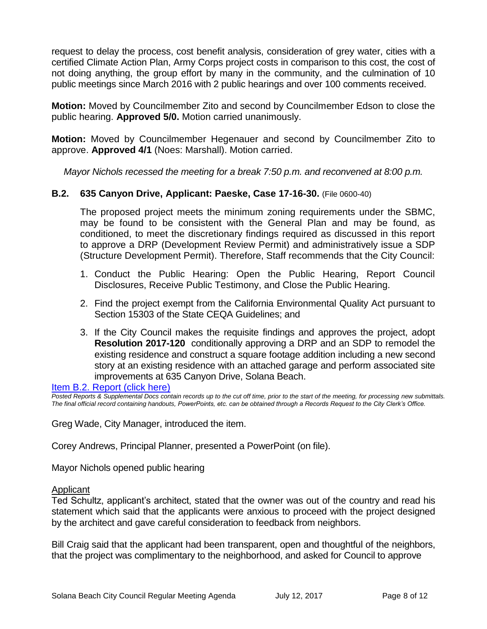request to delay the process, cost benefit analysis, consideration of grey water, cities with a certified Climate Action Plan, Army Corps project costs in comparison to this cost, the cost of not doing anything, the group effort by many in the community, and the culmination of 10 public meetings since March 2016 with 2 public hearings and over 100 comments received.

**Motion:** Moved by Councilmember Zito and second by Councilmember Edson to close the public hearing. **Approved 5/0.** Motion carried unanimously.

**Motion:** Moved by Councilmember Hegenauer and second by Councilmember Zito to approve. **Approved 4/1** (Noes: Marshall). Motion carried.

*Mayor Nichols recessed the meeting for a break 7:50 p.m. and reconvened at 8:00 p.m.*

# **B.2. 635 Canyon Drive, Applicant: Paeske, Case 17-16-30.** (File 0600-40)

The proposed project meets the minimum zoning requirements under the SBMC, may be found to be consistent with the General Plan and may be found, as conditioned, to meet the discretionary findings required as discussed in this report to approve a DRP (Development Review Permit) and administratively issue a SDP (Structure Development Permit). Therefore, Staff recommends that the City Council:

- 1. Conduct the Public Hearing: Open the Public Hearing, Report Council Disclosures, Receive Public Testimony, and Close the Public Hearing.
- 2. Find the project exempt from the California Environmental Quality Act pursuant to Section 15303 of the State CEQA Guidelines; and
- 3. If the City Council makes the requisite findings and approves the project, adopt **Resolution 2017-120** conditionally approving a DRP and an SDP to remodel the existing residence and construct a square footage addition including a new second story at an existing residence with an attached garage and perform associated site improvements at 635 Canyon Drive, Solana Beach.

#### [Item B.2. Report \(click here\)](https://solanabeach.govoffice3.com/vertical/Sites/%7B840804C2-F869-4904-9AE3-720581350CE7%7D/uploads/Item_B.2_Report_(click_here)_-_7-12-17.PDF)

*Posted Reports & Supplemental Docs contain records up to the cut off time, prior to the start of the meeting, for processing new submittals. The final official record containing handouts, PowerPoints, etc. can be obtained through a Records Request to the City Clerk's Office.*

Greg Wade, City Manager, introduced the item.

Corey Andrews, Principal Planner, presented a PowerPoint (on file).

Mayor Nichols opened public hearing

#### **Applicant**

Ted Schultz, applicant's architect, stated that the owner was out of the country and read his statement which said that the applicants were anxious to proceed with the project designed by the architect and gave careful consideration to feedback from neighbors.

Bill Craig said that the applicant had been transparent, open and thoughtful of the neighbors, that the project was complimentary to the neighborhood, and asked for Council to approve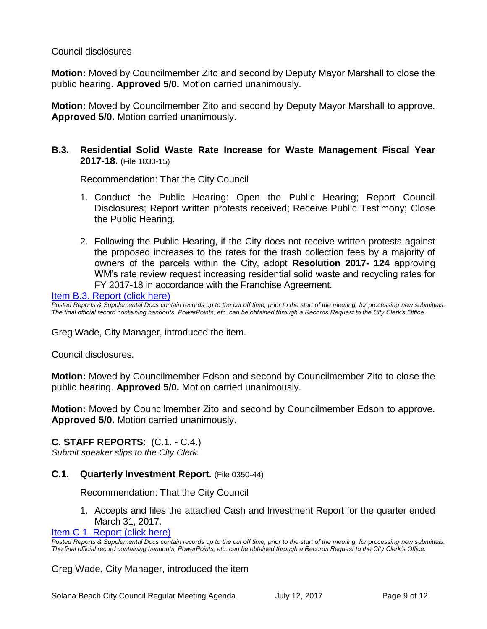# Council disclosures

**Motion:** Moved by Councilmember Zito and second by Deputy Mayor Marshall to close the public hearing. **Approved 5/0.** Motion carried unanimously.

**Motion:** Moved by Councilmember Zito and second by Deputy Mayor Marshall to approve. **Approved 5/0.** Motion carried unanimously.

# **B.3. Residential Solid Waste Rate Increase for Waste Management Fiscal Year 2017-18.** (File 1030-15)

Recommendation: That the City Council

- 1. Conduct the Public Hearing: Open the Public Hearing; Report Council Disclosures; Report written protests received; Receive Public Testimony; Close the Public Hearing.
- 2. Following the Public Hearing, if the City does not receive written protests against the proposed increases to the rates for the trash collection fees by a majority of owners of the parcels within the City, adopt **Resolution 2017- 124** approving WM's rate review request increasing residential solid waste and recycling rates for FY 2017-18 in accordance with the Franchise Agreement.

[Item B.3. Report \(click here\)](https://solanabeach.govoffice3.com/vertical/Sites/%7B840804C2-F869-4904-9AE3-720581350CE7%7D/uploads/Item_B.3_Report_(click_here)_-_7-12-17.PDF)

*Posted Reports & Supplemental Docs contain records up to the cut off time, prior to the start of the meeting, for processing new submittals. The final official record containing handouts, PowerPoints, etc. can be obtained through a Records Request to the City Clerk's Office.*

Greg Wade, City Manager, introduced the item.

Council disclosures.

**Motion:** Moved by Councilmember Edson and second by Councilmember Zito to close the public hearing. **Approved 5/0.** Motion carried unanimously.

**Motion:** Moved by Councilmember Zito and second by Councilmember Edson to approve. **Approved 5/0.** Motion carried unanimously.

#### **C. STAFF REPORTS**: (C.1. - C.4.)

*Submit speaker slips to the City Clerk.*

#### **C.1. Quarterly Investment Report.** (File 0350-44)

Recommendation: That the City Council

1. Accepts and files the attached Cash and Investment Report for the quarter ended March 31, 2017.

[Item C.1. Report \(click here\)](https://solanabeach.govoffice3.com/vertical/Sites/%7B840804C2-F869-4904-9AE3-720581350CE7%7D/uploads/Item_C.1_Report_(click_here)_-_7-12-17.PDF)

Greg Wade, City Manager, introduced the item

*Posted Reports & Supplemental Docs contain records up to the cut off time, prior to the start of the meeting, for processing new submittals. The final official record containing handouts, PowerPoints, etc. can be obtained through a Records Request to the City Clerk's Office.*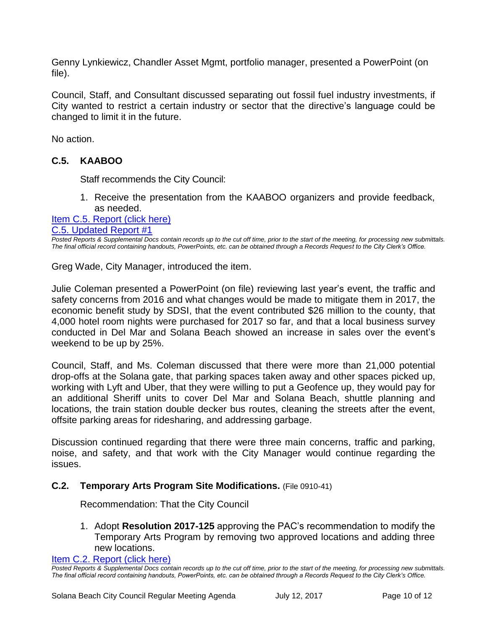Genny Lynkiewicz, Chandler Asset Mgmt, portfolio manager, presented a PowerPoint (on file).

Council, Staff, and Consultant discussed separating out fossil fuel industry investments, if City wanted to restrict a certain industry or sector that the directive's language could be changed to limit it in the future.

No action.

# **C.5. KAABOO**

Staff recommends the City Council:

1. Receive the presentation from the KAABOO organizers and provide feedback, as needed.

#### [Item C.5. Report \(click here\)](https://solanabeach.govoffice3.com/vertical/Sites/%7B840804C2-F869-4904-9AE3-720581350CE7%7D/uploads/Item_C.5_Report_(click_here)_-_7-12-17.pdf) [C.5. Updated Report #1](https://solanabeach.govoffice3.com/vertical/Sites/%7B840804C2-F869-4904-9AE3-720581350CE7%7D/uploads/C.5._Updated_Report_1_-_7-12-17.pdf)

*Posted Reports & Supplemental Docs contain records up to the cut off time, prior to the start of the meeting, for processing new submittals. The final official record containing handouts, PowerPoints, etc. can be obtained through a Records Request to the City Clerk's Office.*

Greg Wade, City Manager, introduced the item.

Julie Coleman presented a PowerPoint (on file) reviewing last year's event, the traffic and safety concerns from 2016 and what changes would be made to mitigate them in 2017, the economic benefit study by SDSI, that the event contributed \$26 million to the county, that 4,000 hotel room nights were purchased for 2017 so far, and that a local business survey conducted in Del Mar and Solana Beach showed an increase in sales over the event's weekend to be up by 25%.

Council, Staff, and Ms. Coleman discussed that there were more than 21,000 potential drop-offs at the Solana gate, that parking spaces taken away and other spaces picked up, working with Lyft and Uber, that they were willing to put a Geofence up, they would pay for an additional Sheriff units to cover Del Mar and Solana Beach, shuttle planning and locations, the train station double decker bus routes, cleaning the streets after the event, offsite parking areas for ridesharing, and addressing garbage.

Discussion continued regarding that there were three main concerns, traffic and parking, noise, and safety, and that work with the City Manager would continue regarding the issues.

# **C.2. Temporary Arts Program Site Modifications.** (File 0910-41)

Recommendation: That the City Council

1. Adopt **Resolution 2017-125** approving the PAC's recommendation to modify the Temporary Arts Program by removing two approved locations and adding three new locations.

[Item C.2. Report \(click here\)](https://solanabeach.govoffice3.com/vertical/Sites/%7B840804C2-F869-4904-9AE3-720581350CE7%7D/uploads/Item_C.2_Report_(click_here)_-_7-12-17.PDF) 

*Posted Reports & Supplemental Docs contain records up to the cut off time, prior to the start of the meeting, for processing new submittals. The final official record containing handouts, PowerPoints, etc. can be obtained through a Records Request to the City Clerk's Office.*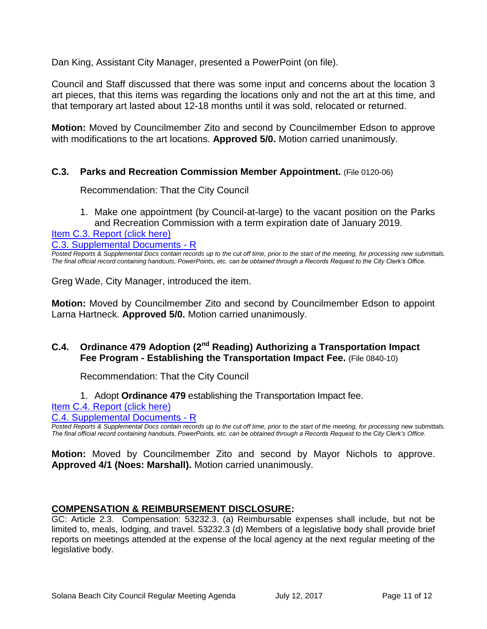Dan King, Assistant City Manager, presented a PowerPoint (on file).

Council and Staff discussed that there was some input and concerns about the location 3 art pieces, that this items was regarding the locations only and not the art at this time, and that temporary art lasted about 12-18 months until it was sold, relocated or returned.

**Motion:** Moved by Councilmember Zito and second by Councilmember Edson to approve with modifications to the art locations. **Approved 5/0.** Motion carried unanimously.

# **C.3. Parks and Recreation Commission Member Appointment.** (File 0120-06)

Recommendation: That the City Council

1. Make one appointment (by Council-at-large) to the vacant position on the Parks and Recreation Commission with a term expiration date of January 2019.

[Item C.3. Report \(click here\)](https://solanabeach.govoffice3.com/vertical/Sites/%7B840804C2-F869-4904-9AE3-720581350CE7%7D/uploads/Item_C.3_Report_(click_here)_-_7-12-17.PDF)

[C.3. Supplemental Documents -](https://solanabeach.govoffice3.com/vertical/Sites/%7B840804C2-F869-4904-9AE3-720581350CE7%7D/uploads/C.3._Supplemental_Document_-_R.pdf) R

*Posted Reports & Supplemental Docs contain records up to the cut off time, prior to the start of the meeting, for processing new submittals. The final official record containing handouts, PowerPoints, etc. can be obtained through a Records Request to the City Clerk's Office.*

Greg Wade, City Manager, introduced the item.

**Motion:** Moved by Councilmember Zito and second by Councilmember Edson to appoint Larna Hartneck. **Approved 5/0.** Motion carried unanimously.

# **C.4. Ordinance 479 Adoption (2nd Reading) Authorizing a Transportation Impact Fee Program - Establishing the Transportation Impact Fee.** (File 0840-10)

Recommendation: That the City Council

1. Adopt **Ordinance 479** establishing the Transportation Impact fee.

[Item C.4. Report \(click here\)](https://solanabeach.govoffice3.com/vertical/Sites/%7B840804C2-F869-4904-9AE3-720581350CE7%7D/uploads/Item_C.4_Report_(click_here)_-_7-12-17.PDF)

[C.4. Supplemental Documents -](https://solanabeach.govoffice3.com/vertical/Sites/%7B840804C2-F869-4904-9AE3-720581350CE7%7D/uploads/C.4._Supplemental_Documents__7-12-17.pdf) R

*Posted Reports & Supplemental Docs contain records up to the cut off time, prior to the start of the meeting, for processing new submittals. The final official record containing handouts, PowerPoints, etc. can be obtained through a Records Request to the City Clerk's Office.*

**Motion:** Moved by Councilmember Zito and second by Mayor Nichols to approve. **Approved 4/1 (Noes: Marshall).** Motion carried unanimously.

#### **COMPENSATION & REIMBURSEMENT DISCLOSURE:**

GC: Article 2.3. Compensation: 53232.3. (a) Reimbursable expenses shall include, but not be limited to, meals, lodging, and travel. 53232.3 (d) Members of a legislative body shall provide brief reports on meetings attended at the expense of the local agency at the next regular meeting of the legislative body.